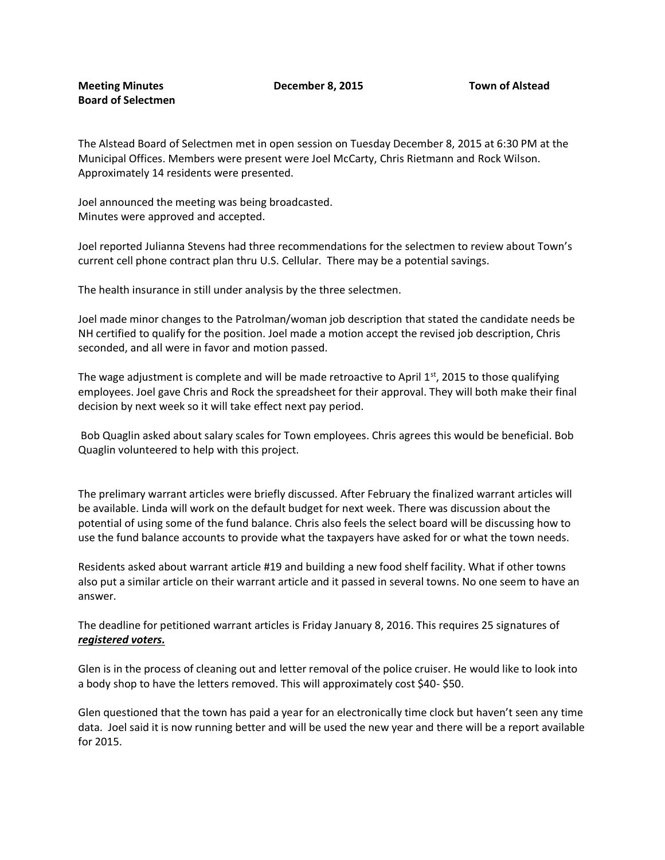The Alstead Board of Selectmen met in open session on Tuesday December 8, 2015 at 6:30 PM at the Municipal Offices. Members were present were Joel McCarty, Chris Rietmann and Rock Wilson. Approximately 14 residents were presented.

Joel announced the meeting was being broadcasted. Minutes were approved and accepted.

Joel reported Julianna Stevens had three recommendations for the selectmen to review about Town's current cell phone contract plan thru U.S. Cellular. There may be a potential savings.

The health insurance in still under analysis by the three selectmen.

Joel made minor changes to the Patrolman/woman job description that stated the candidate needs be NH certified to qualify for the position. Joel made a motion accept the revised job description, Chris seconded, and all were in favor and motion passed.

The wage adjustment is complete and will be made retroactive to April  $1<sup>st</sup>$ , 2015 to those qualifying employees. Joel gave Chris and Rock the spreadsheet for their approval. They will both make their final decision by next week so it will take effect next pay period.

Bob Quaglin asked about salary scales for Town employees. Chris agrees this would be beneficial. Bob Quaglin volunteered to help with this project.

The prelimary warrant articles were briefly discussed. After February the finalized warrant articles will be available. Linda will work on the default budget for next week. There was discussion about the potential of using some of the fund balance. Chris also feels the select board will be discussing how to use the fund balance accounts to provide what the taxpayers have asked for or what the town needs.

Residents asked about warrant article #19 and building a new food shelf facility. What if other towns also put a similar article on their warrant article and it passed in several towns. No one seem to have an answer.

The deadline for petitioned warrant articles is Friday January 8, 2016. This requires 25 signatures of *registered voters.*

Glen is in the process of cleaning out and letter removal of the police cruiser. He would like to look into a body shop to have the letters removed. This will approximately cost \$40- \$50.

Glen questioned that the town has paid a year for an electronically time clock but haven't seen any time data. Joel said it is now running better and will be used the new year and there will be a report available for 2015.